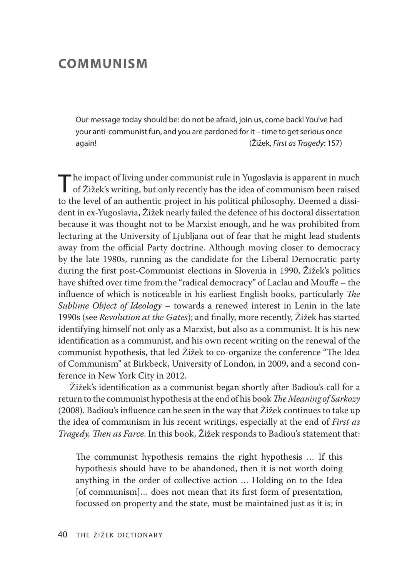## **COMMUNISM**

Our message today should be: do not be afraid, join us, come back! You've had your anti-communist fun, and you are pardoned for it – time to get serious once again! (Žižek, First as Tragedy: 157)

T he impact of living under communist rule in Yugoslavia is apparent in much of Žižek's writing, but only recently has the idea of communism been raised to the level of an authentic project in his political philosophy. Deemed a dissident in ex-Yugoslavia, Žižek nearly failed the defence of his doctoral dissertation because it was thought not to be Marxist enough, and he was prohibited from lecturing at the University of Ljubljana out of fear that he might lead students away from the official Party doctrine. Although moving closer to democracy by the late 1980s, running as the candidate for the Liberal Democratic party during the first post-Communist elections in Slovenia in 1990, Žižek's politics have shifted over time from the "radical democracy" of Laclau and Mouffe - the influence of which is noticeable in his earliest English books, particularly *The Sublime Object of Ideology* – towards a renewed interest in Lenin in the late 1990s (see *Revolution at the Gates*); and finally, more recently, Žižek has started identifying himself not only as a Marxist, but also as a communist. It is his new identification as a communist, and his own recent writing on the renewal of the communist hypothesis, that led Žižek to co-organize the conference "The Idea of Communism" at Birkbeck, University of London, in 2009, and a second conference in New York City in 2012.

Žižek's identification as a communist began shortly after Badiou's call for a return to the communist hypothesis at the end of his book *The Meaning of Sarkozy* (2008). Badiou's influence can be seen in the way that Žižek continues to take up the idea of communism in his recent writings, especially at the end of *First as Tragedy, Then as Farce*. In this book, Žižek responds to Badiou's statement that:

The communist hypothesis remains the right hypothesis ... If this hypothesis should have to be abandoned, then it is not worth doing anything in the order of collective action … Holding on to the Idea [of communism]... does not mean that its first form of presentation, focussed on property and the state, must be maintained just as it is; in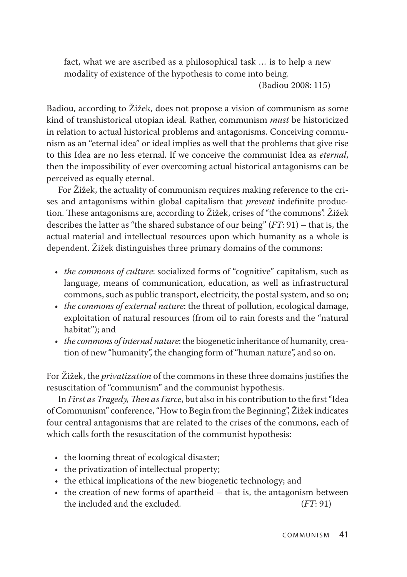fact, what we are ascribed as a philosophical task … is to help a new modality of existence of the hypothesis to come into being.

(Badiou 2008: 115)

Badiou, according to Žižek, does not propose a vision of communism as some kind of transhistorical utopian ideal. Rather, communism *must* be historicized in relation to actual historical problems and antagonisms. Conceiving communism as an "eternal idea" or ideal implies as well that the problems that give rise to this Idea are no less eternal. If we conceive the communist Idea as *eternal*, then the impossibility of ever overcoming actual historical antagonisms can be perceived as equally eternal.

For Žižek, the actuality of communism requires making reference to the crises and antagonisms within global capitalism that *prevent* indefinite production. These antagonisms are, according to Žižek, crises of "the commons". Žižek describes the latter as "the shared substance of our being" (*FT*: 91) – that is, the actual material and intellectual resources upon which humanity as a whole is dependent. Žižek distinguishes three primary domains of the commons:

- *the commons of culture*: socialized forms of "cognitive" capitalism, such as language, means of communication, education, as well as infrastructural commons, such as public transport, electricity, the postal system, and so on;
- *the commons of external nature*: the threat of pollution, ecological damage, exploitation of natural resources (from oil to rain forests and the "natural habitat"); and
- *the commons of internal nature*: the biogenetic inheritance of humanity, creation of new "humanity", the changing form of "human nature", and so on.

For Žižek, the *privatization* of the commons in these three domains justifies the resuscitation of "communism" and the communist hypothesis.

In *First as Tragedy, Then as Farce*, but also in his contribution to the first "Idea of Communism" conference, "How to Begin from the Beginning", Žižek indicates four central antagonisms that are related to the crises of the commons, each of which calls forth the resuscitation of the communist hypothesis:

- the looming threat of ecological disaster;
- the privatization of intellectual property;
- the ethical implications of the new biogenetic technology; and
- the creation of new forms of apartheid that is, the antagonism between the included and the excluded. (*FT*: 91)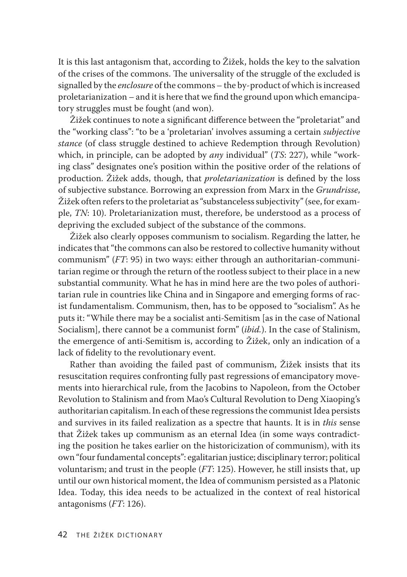It is this last antagonism that, according to Žižek, holds the key to the salvation of the crises of the commons. The universality of the struggle of the excluded is signalled by the *enclosure* of the commons – the by-product of which is increased proletarianization – and it is here that we find the ground upon which emancipatory struggles must be fought (and won).

Žižek continues to note a significant difference between the "proletariat" and the "working class": "to be a 'proletarian' involves assuming a certain *subjective stance* (of class struggle destined to achieve Redemption through Revolution) which, in principle, can be adopted by *any* individual" (*TS*: 227), while "working class" designates one's position within the positive order of the relations of production. Žižek adds, though, that *proletarianization* is defined by the loss of subjective substance. Borrowing an expression from Marx in the *Grundrisse*, Žižek often refers to the proletariat as "substanceless subjectivity" (see, for example, *TN*: 10). Proletarianization must, therefore, be understood as a process of depriving the excluded subject of the substance of the commons.

Žižek also clearly opposes communism to socialism. Regarding the latter, he indicates that "the commons can also be restored to collective humanity without communism" (*FT*: 95) in two ways: either through an authoritarian-communitarian regime or through the return of the rootless subject to their place in a new substantial community. What he has in mind here are the two poles of authoritarian rule in countries like China and in Singapore and emerging forms of racist fundamentalism. Communism, then, has to be opposed to "socialism". As he puts it: "While there may be a socialist anti-Semitism [as in the case of National Socialism], there cannot be a communist form" (*ibid.*). In the case of Stalinism, the emergence of anti-Semitism is, according to Žižek, only an indication of a lack of fidelity to the revolutionary event.

Rather than avoiding the failed past of communism, Žižek insists that its resuscitation requires confronting fully past regressions of emancipatory movements into hierarchical rule, from the Jacobins to Napoleon, from the October Revolution to Stalinism and from Mao's Cultural Revolution to Deng Xiaoping's authoritarian capitalism. In each of these regressions the communist Idea persists and survives in its failed realization as a spectre that haunts. It is in *this* sense that Žižek takes up communism as an eternal Idea (in some ways contradicting the position he takes earlier on the historicization of communism), with its own "four fundamental concepts": egalitarian justice; disciplinary terror; political voluntarism; and trust in the people (*FT*: 125). However, he still insists that, up until our own historical moment, the Idea of communism persisted as a Platonic Idea. Today, this idea needs to be actualized in the context of real historical antagonisms (*FT*: 126).